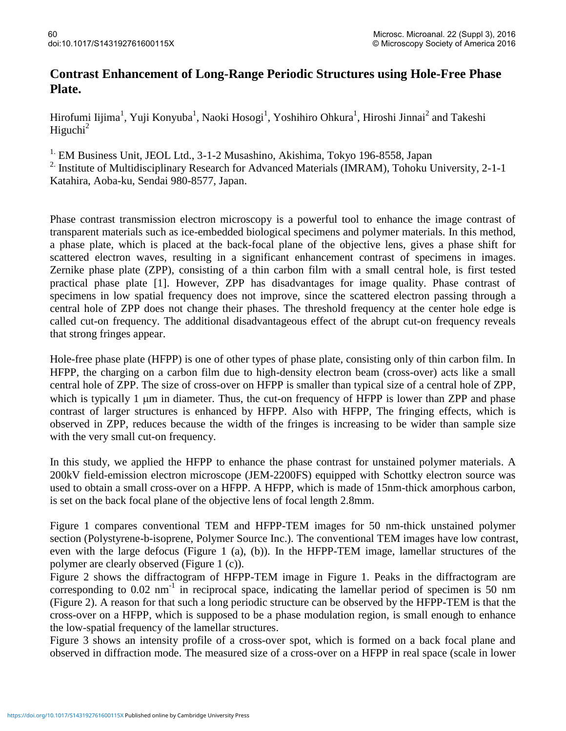## **Contrast Enhancement of Long-Range Periodic Structures using Hole-Free Phase Plate.**

Hirofumi Iijima<sup>1</sup>, Yuji Konyuba<sup>1</sup>, Naoki Hosogi<sup>1</sup>, Yoshihiro Ohkura<sup>1</sup>, Hiroshi Jinnai<sup>2</sup> and Takeshi Higuchi $^2$ 

<sup>1.</sup> EM Business Unit, JEOL Ltd., 3-1-2 Musashino, Akishima, Tokyo 196-8558, Japan

<sup>2</sup>. Institute of Multidisciplinary Research for Advanced Materials (IMRAM), Tohoku University, 2-1-1 Katahira, Aoba-ku, Sendai 980-8577, Japan.

Phase contrast transmission electron microscopy is a powerful tool to enhance the image contrast of transparent materials such as ice-embedded biological specimens and polymer materials. In this method, a phase plate, which is placed at the back-focal plane of the objective lens, gives a phase shift for scattered electron waves, resulting in a significant enhancement contrast of specimens in images. Zernike phase plate (ZPP), consisting of a thin carbon film with a small central hole, is first tested practical phase plate [1]. However, ZPP has disadvantages for image quality. Phase contrast of specimens in low spatial frequency does not improve, since the scattered electron passing through a central hole of ZPP does not change their phases. The threshold frequency at the center hole edge is called cut-on frequency. The additional disadvantageous effect of the abrupt cut-on frequency reveals that strong fringes appear.

Hole-free phase plate (HFPP) is one of other types of phase plate, consisting only of thin carbon film. In HFPP, the charging on a carbon film due to high-density electron beam (cross-over) acts like a small central hole of ZPP. The size of cross-over on HFPP is smaller than typical size of a central hole of ZPP, which is typically 1  $\mu$ m in diameter. Thus, the cut-on frequency of HFPP is lower than ZPP and phase contrast of larger structures is enhanced by HFPP. Also with HFPP, The fringing effects, which is observed in ZPP, reduces because the width of the fringes is increasing to be wider than sample size with the very small cut-on frequency.

In this study, we applied the HFPP to enhance the phase contrast for unstained polymer materials. A 200kV field-emission electron microscope (JEM-2200FS) equipped with Schottky electron source was used to obtain a small cross-over on a HFPP. A HFPP, which is made of 15nm-thick amorphous carbon, is set on the back focal plane of the objective lens of focal length 2.8mm.

Figure 1 compares conventional TEM and HFPP-TEM images for 50 nm-thick unstained polymer section (Polystyrene-b-isoprene, Polymer Source Inc.). The conventional TEM images have low contrast, even with the large defocus (Figure 1 (a), (b)). In the HFPP-TEM image, lamellar structures of the polymer are clearly observed (Figure 1 (c)).

Figure 2 shows the diffractogram of HFPP-TEM image in Figure 1. Peaks in the diffractogram are corresponding to  $0.02 \text{ nm}^{-1}$  in reciprocal space, indicating the lamellar period of specimen is 50 nm (Figure 2). A reason for that such a long periodic structure can be observed by the HFPP-TEM is that the cross-over on a HFPP, which is supposed to be a phase modulation region, is small enough to enhance the low-spatial frequency of the lamellar structures.

Figure 3 shows an intensity profile of a cross-over spot, which is formed on a back focal plane and observed in diffraction mode. The measured size of a cross-over on a HFPP in real space (scale in lower